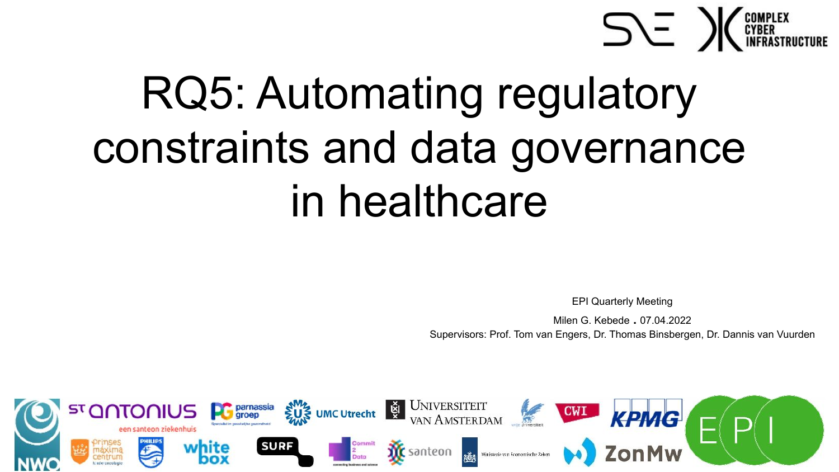

# RQ5: Automating regulatory constraints and data governance in healthcare

EPI Quarterly Meeting

Milen G. Kebede . 07.04.2022 Supervisors: Prof. Tom van Engers, Dr. Thomas Binsbergen, Dr. Dannis van Vuurden

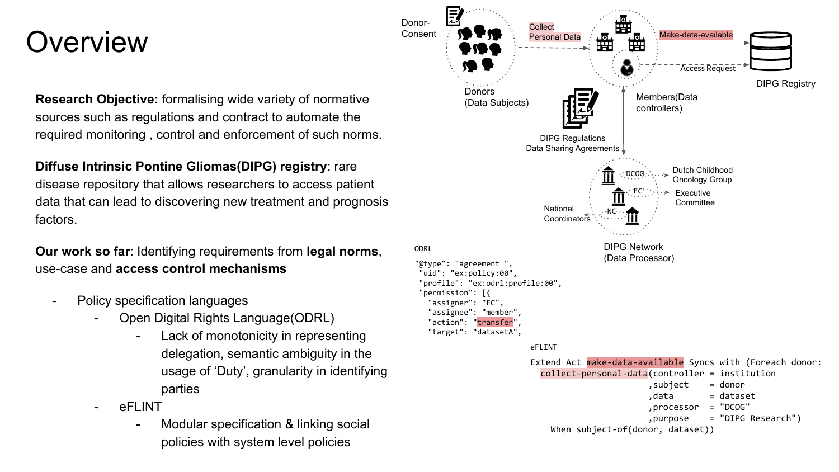#### **Overview**

**Research Objective:** formalising wide variety of normative sources such as regulations and contract to automate the required monitoring , control and enforcement of such norms.

**Diffuse Intrinsic Pontine Gliomas(DIPG) registry**: rare disease repository that allows researchers to access patient data that can lead to discovering new treatment and prognosis factors.

**Our work so far**: Identifying requirements from **legal norms**, use-case and **access control mechanisms** 

- Policy specification languages
	- Open Digital Rights Language(ODRL)
		- Lack of monotonicity in representing delegation, semantic ambiguity in the usage of 'Duty', granularity in identifying parties
	- eFLINT
		- Modular specification & linking social policies with system level policies

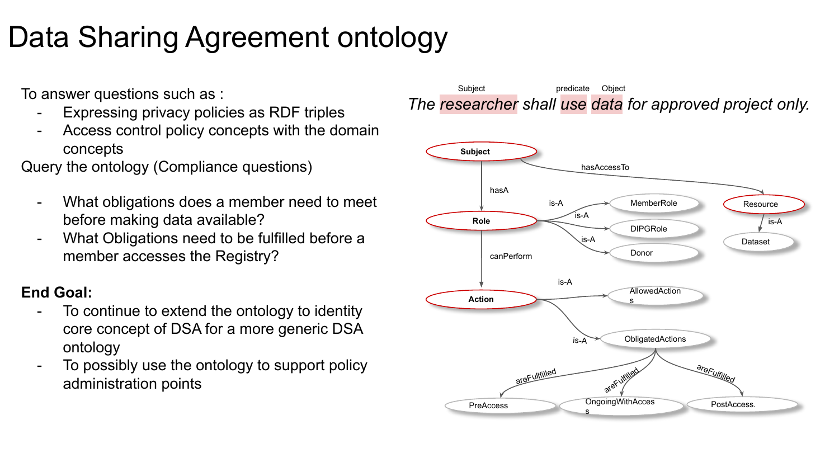## Data Sharing Agreement ontology

To answer questions such as :

- Expressing privacy policies as RDF triples
- Access control policy concepts with the domain concepts

Query the ontology (Compliance questions)

- What obligations does a member need to meet before making data available?
- What Obligations need to be fulfilled before a member accesses the Registry?

#### **End Goal:**

- To continue to extend the ontology to identity core concept of DSA for a more generic DSA ontology
- To possibly use the ontology to support policy administration points



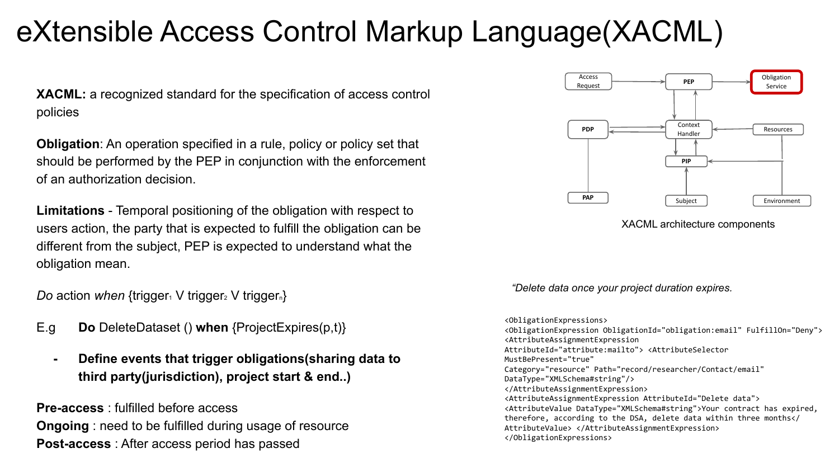### eXtensible Access Control Markup Language(XACML)

**XACML:** a recognized standard for the specification of access control policies

**Obligation**: An operation specified in a rule, policy or policy set that should be performed by the PEP in conjunction with the enforcement of an authorization decision.

**Limitations** - Temporal positioning of the obligation with respect to users action, the party that is expected to fulfill the obligation can be different from the subject, PEP is expected to understand what the obligation mean.

*Do* action *when* {trigger<sub>1</sub> V trigger<sub>2</sub> V trigger<sub>n</sub>}

- E.g **Do** DeleteDataset () **when** {ProjectExpires(p,t)}
	- **- Define events that trigger obligations(sharing data to third party(jurisdiction), project start & end..)**

**Pre-access** : fulfilled before access **Ongoing** : need to be fulfilled during usage of resource **Post-access** : After access period has passed



#### XACML architecture components

*"Delete data once your project duration expires.*

<ObligationExpressions> <ObligationExpression ObligationId="obligation:email" FulfillOn="Deny"> <AttributeAssignmentExpression AttributeId="attribute:mailto"> <AttributeSelector MustBePresent="true" Category="resource" Path="record/researcher/Contact/email" DataType="XMLSchema#string"/> </AttributeAssignmentExpression> <AttributeAssignmentExpression AttributeId="Delete data"> <AttributeValue DataType="XMLSchema#string">Your contract has expired, therefore, according to the DSA, delete data within three months</ AttributeValue> </AttributeAssignmentExpression> </ObligationExpressions>